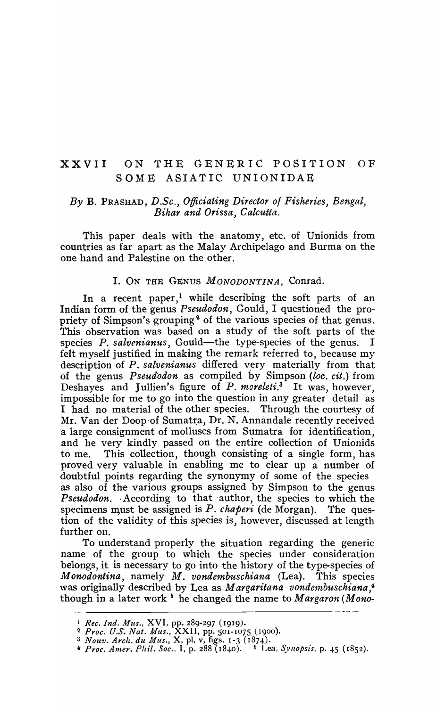# XXVII ON THE GENERIC POSITION OF SOME ASIATIC UNIONIDAE

# *By* B. PRASHAD, *D.Sc., Officiating Director 01 Fisheries, Bengal, Bihar and Orissa,* C *aleutta.*

This paper deals with the anatomy, etc. of Unionids from countries as far apart as the Malay Archipelago and Burma on the one hand and Palestine on the other.

#### I. ON THE GENUS *MONODONTINA,* Conrad.

In a recent paper,<sup>1</sup> while describing the soft parts of an Indian form of the genus *Pseudodon,* Gould, I questioned the propriety of Simpson's grouping<sup>2</sup> of the various species of that genus. This observation was based on a study of the soft parts of the species *P. salvenianus*, Gould—the type-species of the genus. felt myself justified in making the remark referred to, because my description of *P. salvenianus* differed very materially from that of the genus *Pseudodon* as compiled by Simpson *(loc. cit.)* from Deshayes and Jullien's figure of P. *moreleti*.<sup>3</sup> It was, however, impossible for me to go into the question in any greater detail as I had no material of the other species. Through the courtesy of Mr. Van der Doop of Sumatra, Dr. N. Annandale recently received a large consignment of molluscs from Sumatra for identification, and he very kindly passed on the entire collection of Unionids to me. This collection, though consisting of a single form, has proved very valuable in enabling me to clear up a number of doubtful points regarding the synonymy of some of the species as also of the various groups assigned by Simpson to the genus **Pseudodon.** According to that author, the species to which the specimens must be assigned is  $P$ . *chaperi* (de Morgan). The question of the validity of this species is, however, discussed at length further on.

To understand properly the situation regarding the generic name of the group to which the species under consideration belongs, it is necessary to go into the history of the type-species of *Monodontina*, namely *M. vondembuschiana* (Lea). This species was originally described by Lea as *Margaritana vondembuschiana*,<sup>4</sup> though in a later work <sup>6</sup> he changed the name to *Margaron* (Mono-

<sup>1</sup>*Rec. Ind. Mus.,* X VI, pp. 289-297 (1919).

<sup>2</sup>*Proc. U.S. Nat. Mus.,* XXII, pp. 501-1075 (1900).

<sup>;)</sup> *Nolt'v. Arch. du Jlus.,* X, pI. v, figs. 1-3 ( 1874) .

<sup>4</sup> *Proc. Amer. Phil. Soc.*, I, p. 288 (1840). <sup>5</sup> Lea, *Synopsis*, p. 45 (1852).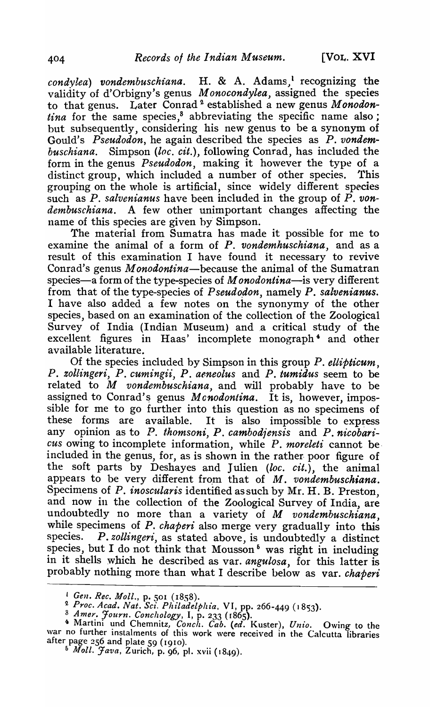*condylea)* vondembuschiana. H. & A. Adams,<sup>1</sup> recognizing the validity of d'Orbigny's genus *M onocondylea,* assigned the species to that genus. Later Conrad 2 established a new genus M *onodon*tina for the same species,<sup>8</sup> abbreviating the specific name also; but subsequently, considering his new genus to be a synonym of Gould's *Pseudodon,* he again described the species as P. *vondembuschiana.* Simpson *(loc. cit.),* following Conrad, has included the form in the genus *Pseudodon*, making it however the type of a distinct group, which included a number of other species. This grouping on the whole is artificial, since widely different species such as *P. salvenianus* have been included in the group of P. *vondembuschiana.* A few other unimportant changes affecting the name of this species are given by Simpson.

The material from Sumatra has made it possible for me to examine the animal of a form of P. *vondemhuschiana,* and as a result of this examination I have found it necessary to revive Conrad's genus *Monodontina-because* the animal of the Sumatran species—a form of the type-species of *M* onodontina—is very different from that of the type-species of *Pseudodon*, namely *P. salvenianus.* I have also added a few notes on the synonymy of the other species, based on an examination of the collection of the Zoological Survey of India (Indian Museum) and a critical study of the excellent figures in Haas' incomplete monograph 4 and other available literature.

Of the species included by Simpson in this group P. *eltipticum,*  P. *zollingeri,* P. *cumingii, P. aeneolus* and P. *tumidus* seem to be related to *M vondembuschiana,* and will probably have to be assigned to Conrad's genus *Mcnodontina*. It is, however, impossible for me to go further into this question as no specimens of these forms are available. It is also impossible to express any opinion as to P. *thomsoni, P. cambodiensis* and *P. nicobaricus* owing to incomplete information, while P. *moreleti* cannot beincluded in the genus, for, as is shown in the rather-poor figure of the soft parts by Deshayes and Julien *(loc. cit.)*, the animal appears to be very different from that of M. vondembuschiana. Specimens of P. *inoscularis* identified as such by Mr. H. B. Preston, and now in the collection of the Zoological Survey of India, are undoubtedly no more than a variety of *M vondembuschiana,*  while specimens of *P. chaperi* also merge very gradually into this species. *P. zollingeri,* as stated above, is undoubtedly a distinct species, but I do not think that Mousson<sup>5</sup> was right in including in it shells which he described as var. *angulosa,* for this latter is probably nothing more than what I describe below as var. *chaperi* 

*L* Gen. Rec. Moll., p. 501 (1858).

*<sup>2</sup> Proc. Acad. Nat. Set". Ph £ladelplzia.* VI, pp. 266-449 ( 1853).

<sup>3</sup>*Amer. Journ. Conchology,* I, p. 233 ( 1865).

<sup>4</sup>Martini und Chemnitz, *Conch. Cab. (ed.* Kuster), *Unio.* Owing to the war no further instalments of this work were received in the Calcutta libraries after page 256 and plate 59 (1910).

<sup>&</sup>lt;sup>5</sup> *Moll. Java*, Zurich, p. 96, pl. xvii (1849).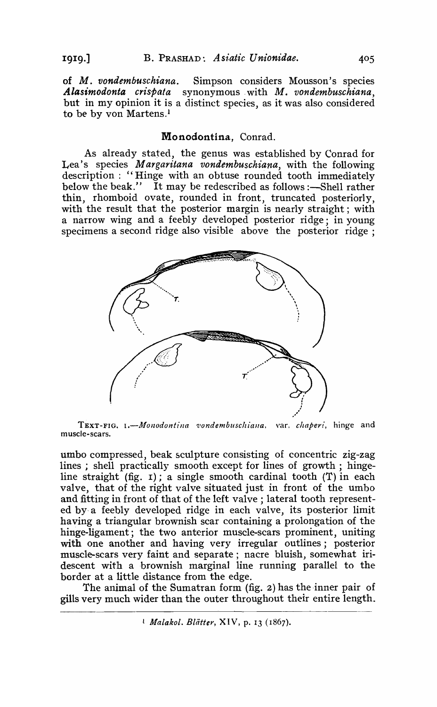of *M. vondembuschiana.* Simpson considers Mousson's species *Alasimodonta crispata* synonymous. with *M. von dembuschiana* , but in my opinion it is a distinct species, as it was also considered to be by von Martens.<sup>l</sup>

# Monodontina, Conrad.

As already stated, the genus was established by Conrad for Lea's species *M argaritana vondembuschiana,* with the following description : "Hinge with an obtuse rounded tooth immediately below the beak." It may be redescribed as follows :-Shell rather thin, rhornboid ovate, rounded in front, truncated posteriorly, with the result that the posterior margin is nearly straight; with a narrow wing and a feebly developed posterior ridge; in young specimens a second ridge also visible above the posterior ridge:



TEXT-FIG. I.-*Monodontina vondembuschiana*, var. *chaperi*, hinge and muscle-scars.

umbo compressed, beak sculpture consisting of concentric zig-zag lines; shell practically smooth except for lines of growth; hingeline straight  $(fig. 1)$ ; a single smooth cardinal tooth  $(T)$  in each valve, that of the right valve situated just in front of the umbo and fitting in front of that of the left valve; lateral tooth represented by- a feebly developed ridge in each valve, its posterior limit having a triangular brownish scar containing a prolongation of the hinge-ligament; the two anterior muscle-scars prominent, uniting with one another and having very irregular outlines; posterior muscle-scars very faint and separate; nacre bluish, somewhat iridescent with a brownish marginal line running parallel to the border at a little distance from the edge.

The animal of the Sumatran form (fig.  $2$ ) has the inner pair of gills very much wider than the outer throughout their entire length.

<sup>1</sup> *Malakol. Blätter*, XIV, p. 13 (1867).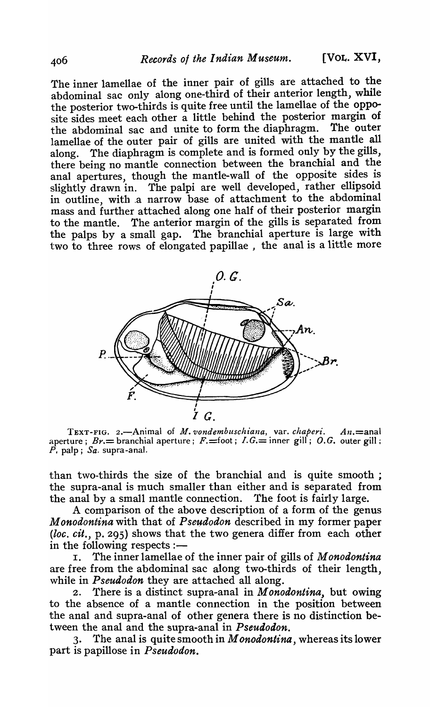The inner lamellae of the inner pair of gills are attached to the abdominal sac only along one-third of their anterior length, while the posterior two-thirds is quite free until the lamellae of the opposite sides meet each other a little behind the posterior margin of the abdominal sac and unite to form the diaphragm. The outer lamellae of the outer pair of gills are united with the mantle all along. The diaphragm is complete and is formed only by the gills, there being no mantle connection between the branchial and the anal apertures, though the mantle-wall of the opposite sides is slightly drawn in. The palpi are well developed, rather ellipsoid in outline, with .a narrow base of attachment to the abdominal mass and further attached along one half of their posterior margin to the mantle. The anterior margin of the gills is separated from the palps by a small gap. The branchial aperture is large with two to three rows of elongated papillae , the anal is a little more



TEXT-FIG. 2.~Animal of *M. vondembuschiana,* var. *chaperi. AIl.=anal*  aperture;  $Br =$  branchial aperture;  $F =$ foot;  $I.G =$  inner gill; O.G. outer gill; P. palp; *Sa.* supra-anal.

than two-thirds the size of the branchial and is quite smooth; the supra-anal is much smaller than either and is separated from the anal by a small mantle connection. The foot is fairly large.

A comparison of the above description of a form of the genus *M onodontina* with that of *Pseudodon* described in my former paper *(loc. cit.,* p. 295) shows that the two genera differ from each other

in the following respects :-<br>I. The inner lamellae I. The inner lamellae of the inner pair of gills of *M onodontina*  are free from the abdominal sac along two-thirds of their length, while in *Pseudodon* they are attached all along.

2. There is a distinct supra-anal in *M onodontina,* but owing to the absence of a mantle connection in the position between the anal and supra-anal of other genera there is no distinction between the anal and the supra-anal in *Pseudodon.* 

3. The anal is quite smooth in *M onodontina,* whereas its lower part is papillose in *Pseudodon.*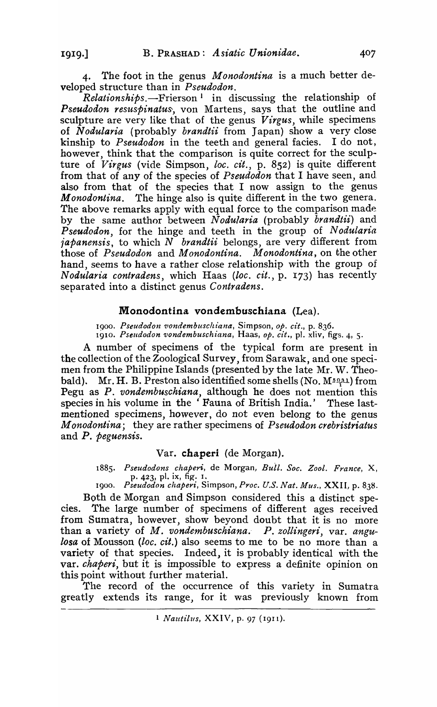4. The foot in the genus *Monodontina* is a much better developed structure than in *Pseudodon.* 

*Relationships.-Frierson* 1 in discussing the relationship of Pseudodon resuspinatus, von Martens, says that the outline and sculpture are very like that of the genus *Virgus,* while specimens of *N odularia* (probably *brandtii* from Japan) show a very close kinship to *Pseudodon* in the teeth and general facies. I do not, however, think that the comparison is quite correct for the sculpture of *Virgus* (vide Simpson, loc. cit., p. 852) is quite different from that of any of the species of *Pseudodon* that I have seen, and also from that of the species that I now assign to the genus *Monodontina.* The hinge also is quite different in the two genera. The above remarks apply with equal force to the comparison made by the same author between *Nodularia* (probably *brandtii)* and *Pseudodon,* for the hinge and teeth in the group of *N odularia iapanensis,* to which *N brandtii* belongs, are very different from those of *Pseudodon* and *M onodontina. M onodontina,* on the other hand, seems to have a rather close relationship with the group of *Nodularia contradens,* which Haas *(loc. cit.,* p. 173) has recently separated into a distinct genus *Contradens.* 

# Monodontina vondembuschiana (Lea).

1900. *Pseudodon vondembuschiana*, Simpson, op. cit., p. 836. IgI0. *Pseudodon vondembuschiana,* Haas, *Ope cit.,* pI. xliv, figs. 4, s.

A number of specimens of the typical form are present in the collection of the Zoological Survey, from Sarawak, and one specimen from the Philippine Islands (presented by the late Mr. W. Theobald). Mr. H. B. Preston also identified some shells *(No. M*<sup>5031</sup>) from Pegu as P. *vondembuschiana*, although he does not mention this species in his volume in the 'Fauna of British India.' These lastmentioned specimens, however, do not even belong to the genus *M onodontina* ; they are rather specimens of *Pseudodon crebristriatus*  and *P. peguensis.* 

#### Var. chaperi (de Morgan).

*1885. Pseudodons chaperi,* de Morgan, *Bull. Soc. Zool. France,* X, p. 423, pI. ix, fig. I.

Igoo. *Pseudodon chaperi,* Simpson, *Proc. U.S. Nat. Mus.,* XXII, p. 838. Both de Morgan and Simpson considered this a distinct spe-

cies. The large number of specimens of different ages received from Sumatra, however, show beyond doubt that it is no more than a variety of *M. vondembuschiana.- P. zollingeri,* var. *angulosa* of Mousson *(loc. cit.)* also seems to me to be no more than a variety of that species. Indeed, it is probably identical with the var. *chaperi,* but it is impossible to express a definite opinion on this point without further material.

The record of the occurrence of this variety in Sumatra greatly extends its range, for it was previously known from

1919.]

<sup>&</sup>lt;sup>1</sup> *Nautilus*, XXIV, p. 97 (1911).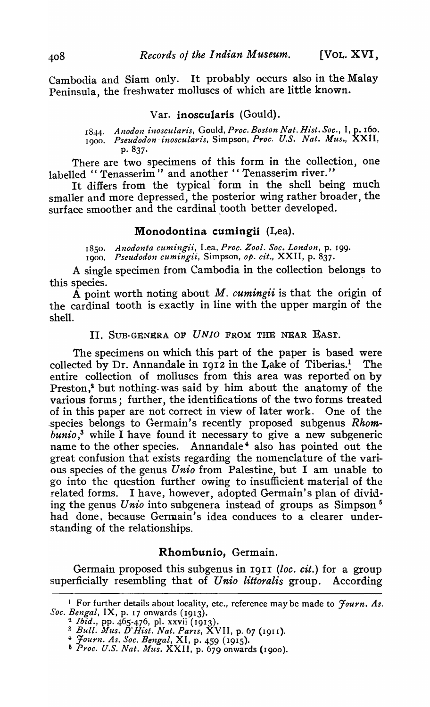Cambodia and Siam only. It probably occurs also in the Malay Peninsula, the freshwater molluscs of which are little known.

#### Var. inoscularis (Gould).

1844. *Anodon inoscularis, Gould, Proc. Boston Nat. Hist. Soc., I, p. 160.* 1900. *Pseudodon' inoscularis,* Simpson, *Pl'oc. U.S. Nat. Mus.,* XXII, p.837·

There are two specimens of this form in the collection, one labelled "Tenasserim" and another "Tenasserim river."

It differs from the typical' form in the shell being much smaller and more depressed, the posterior wing rather broader, the surface smoother and the cardinal tooth better developed.

# Monodontina cumingii (Lea).

1850 • *Allodonta cumingiz',* Lea, *Proc. Zool. Soc. London,* p. 199. 1900. *Pseudodon cumingii*, Simpson, op. cit., XXII, p. 837.

A single specimen from Cambodia in the collection belongs to this species. .

A point worth noting about *M. cumingii* is that the origin of the cardinal tooth is exactly in line with the upper margin of the shell.

# II. SUB-GENERA OF *UNIO* FROM THE NEAR EAST.

The specimens on which this part of the paper is based were collected by Dr. Annandale in  $19I2$  in the Lake of Tiberias.<sup>1</sup> The entire collection of molluscs from this area was reported on by Preston, $<sup>2</sup>$  but nothing-was said by him about the anatomy of the</sup> various forms; further, the identifications of the two forms treated of in this paper are not correct in view of later work. One of the species belongs to Germain's recently proposed subgenus *Rhom*bunio,<sup>3</sup> while I have found it necessary to give a new subgeneric name to the other species. Annandale' also has pointed out the great confusion that exists regarding the nomenclature of the various species of the genus *Unio* from Palestine, but I am unable to go into the question further owing to insufficient material of the related forms. I have, however, adopted Germain's plan of dividing the genus *Unio* into subgenera instead of groups as Simpson 6 had done, because Germain's idea conduces to a clearer understanding of the relationships.

### Rhombunio, Germain.

Germain proposed this subgenus in 1911 (loc. cit.) for a group superficially resembling that of *Unio littoralis* group. According

<sup>1</sup>For further details about locality, etc., reference may be made to *Journ. As. Soc. Bengal,* IX, p. 17 onwards (1913).

<sup>&</sup>lt;sup>2</sup> *Ibid.*, pp. 465-476, pl. xxvii (1913).

<sup>3</sup>*Bull. Mus. D'Rt'st. Nat. Parts,* XVII, p. 67 (1911).

*<sup>4-</sup> Journ. As. Soc. Bengal,* XI, p. 459 (1915).

<sup>6</sup> *Proc. U.S. Nat. Mus.* XXII, p. 679 onwards (1900).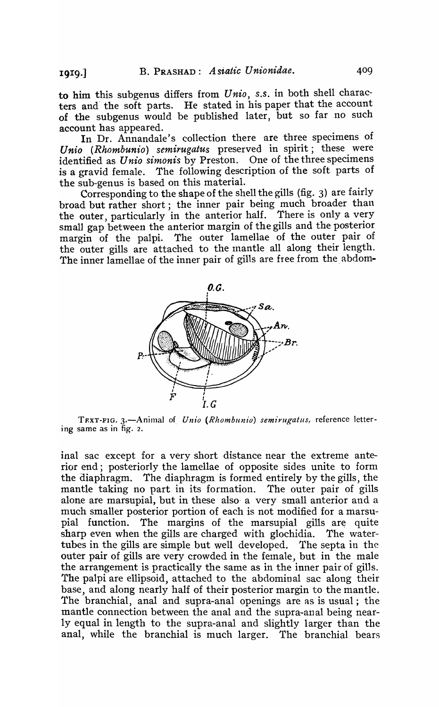to him this subgenus differs from *Unio, 5.5.* in both shell characters and' the soft parts. He stated in bis paper that the account of the subgenus would be published later, but so far no such account has appeared.

In Dr. Annandale's collection there are three specimens of Unio (Rhombunio) semirugatus preserved in spirit; these were identified as *U nio simonis* by Preston. One of the three specimens is a gravid female. The following description of the soft parts of the sub-genus is based on this material.

Corresponding to the shape of the shell the gills (fig. 3) are fairly broad but rather short; the inner pair being much broader than the outer, particularly in the anterior half. There is only a very small gap between the anterior margin of the gills and the posterior margin of the palpi. The outer lamellae of the outer pair of the outer gills are attached to the mantle all along their length. The inner lamellae of the inner pair of gills are free from the. abdom-



TEXT-FIG. 3.-Animal of *Unio* (Rhombunio) semirugatus, reference lettering same as in fig. 2.

inal sac except for a very short distance near the extreme anterior end; posteriorly the lamellae of opposite sides unite to form the diaphragm. The diaphragm is formed entirely by the gills, the mantle taking no part in its formation. The outer pair of gills alone are marsupial, but in these also, a· very small anterior and a much smaller posterior portion of each is not modified for a marsupial function. The margins of the marsupial gills are quite sharp even when the gills are charged with glochidia. The watertubes in the gills are simple but well developed. The septa in the outer pair of gills are very crowded in the female, but in the male the arrangement is practically the same as in the inner pair of gills. The palpi are ellipsoid, attached to the abdominal sac along their base, and along nearly half of their posterior margin to the mantle. The branchial, anal and supra-anal openings are as is usual; the mantle connection between the anal and the supra-anal being nearly equal in length to the supra-anal and slightly larger than the anal, while the branchial is much larger. The branchial bears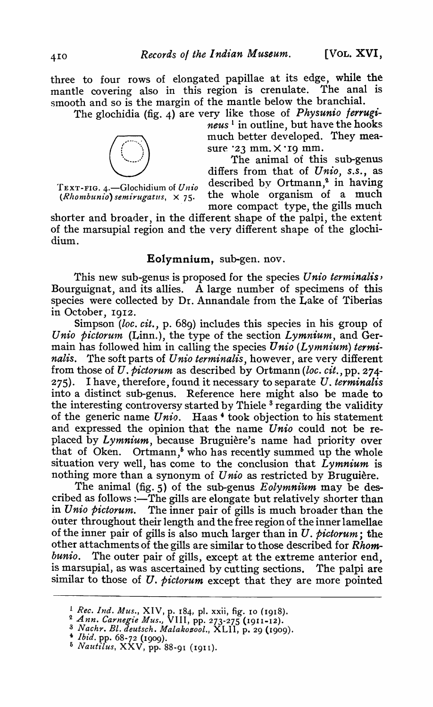three to four rows of elongated papillae at its edge, while the mantle covering also in this region is crenulate. The anal is mantle covering also in this region is crenulate. smooth and so is the margin of the mantle below the branchia1.

The glochidia (fig. 4) are very like those of *Physunio ferrugineus*<sup>1</sup> in outline, but have the hooks<br>
much better developed. They mea-<br>
sure '23 mm. X '19 mm.<br>
The animal of this sub-genus<br>
differs from that of *Unio*, *neus* 1 in outline, but have the hooks much better developed. They measure *'23* mm.  $\times$  '19 mm.<br>The animal of this sub-genus

differs from that of *Unio, s.s.,* as TEXT-FIG. 4.-Glochidium of *Unio* described by Ortmann/' in having  $(Rhombunio)$  semirugatus,  $\times$  75. the whole organism of a much more compact type, the gills much

shorter and broader, in the different shape of the palpi, the extent of the marsupial region and the very different shape of the glochidium.

# Eolymnium, sub-gen. nov.

This new sub-genus is proposed for the species *U nio terminalis,*  Bourguignat, and its allies. A large number of specimens of this species were collected by Dr. Annandale from the Lake of Tiberias in October, 1912.

Simpson *(loc. cit.,* p. 689) includes this species in his group of Unio pictorum (Linn.), the type of the section *Lymnium*, and Germain has followed him in calling the species *Unio* (*Lymnium*) termi*nalis.* The soft parts of *U nio terminalis,* however, are very different from those of U. *pictorum* as described by Ortmann *(loc. cit.,* pp. 274- 275). I have, therefore, found it necessary to separate *U. terminalis*  into a distinct sub-genus. Reference here might also be made to the interesting controversy started by Thiele<sup>3</sup> regarding the validity of the generic name *Unio.* Haas 4 took objection to his statement and expressed the opinion that the name *Unio* could not be replaced by *Lymnium,* because Bruguiere's name had priority over that of Oken. Ortmann,<sup>5</sup> who has recently summed up the whole situation very well, has come to the conclusion that *Lymnium* is nothing more than a synonym of *Unio* as restricted by Bruguière.

The animal (fig. 5) of the sub-genus *Eolymnium* may be described as follows : $-\tilde{T}$ he gills are elongate but relatively shorter than in *Unio pictorum.* The inner pair of gills is much broader than the outer throughout their length and the free region of the inner lamellae of the inner pair of gills is also much larger than in *U. pictorum;* the other attachments of the gills are similar to those described for *Rhombunio.* The outer pair of gills, except at the extreme anterior end, is marsupial, as was ascertained by cutting sections. The palpi are similar to those of *U. pictorum* except that they are more pointed

<sup>!</sup> *Rec. Ind. Mus.,* XIV, p. 184, pI. xxii, fig. 10 (1918).

<sup>&</sup>lt;sup>2</sup> Ann. Carnegie Mus., VIII, pp. 273-275 (1911-12).

<sup>&</sup>lt;sup>3</sup> Nachr. Bl. deutsch. Malakozool., XLII, p. 29 (1909).

<sup>4</sup>*Ibid.* pp. 68-72 (1909).

<sup>6</sup>*Naut£lus,* XXV, pp. 88-91 (1911 ).